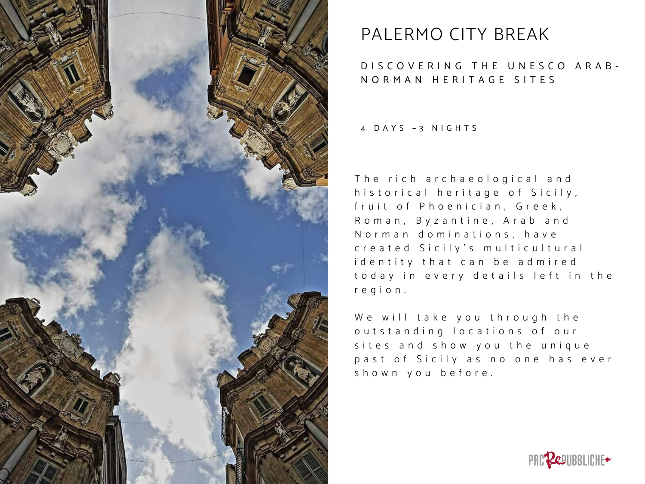

# PALERMO CITY BREAK

## D I S C O V E R I N G T H E U N E S C O A R A B -N O R M A N H E R I T A G E S I T E S

4 D A Y S – 3 N I G H T S

The rich archaeological and historical heritage of Sicily, fruit of Phoenician, Greek, Roman, Byzantine, Arab and Norman dominations, have c r e a t e d Sicily's multicultural id entity that can be admired to day in every details left in the r e g i o n .

We will take you through the outstanding locations of our sites and show you the unique past of Sicily as no one has ever shown you before.